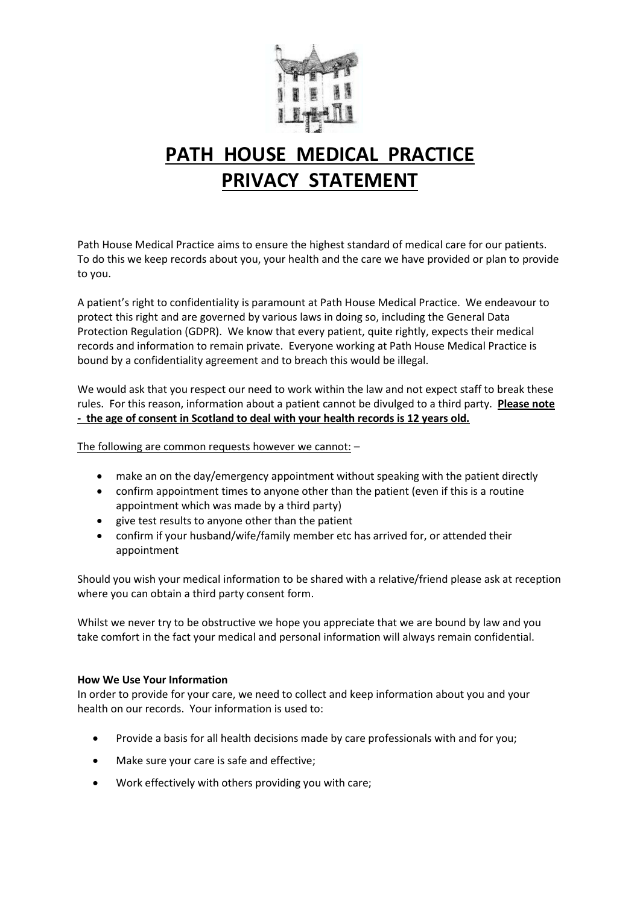

# **PATH HOUSE MEDICAL PRACTICE PRIVACY STATEMENT**

Path House Medical Practice aims to ensure the highest standard of medical care for our patients. To do this we keep records about you, your health and the care we have provided or plan to provide to you.

A patient's right to confidentiality is paramount at Path House Medical Practice. We endeavour to protect this right and are governed by various laws in doing so, including the General Data Protection Regulation (GDPR). We know that every patient, quite rightly, expects their medical records and information to remain private. Everyone working at Path House Medical Practice is bound by a confidentiality agreement and to breach this would be illegal.

We would ask that you respect our need to work within the law and not expect staff to break these rules. For this reason, information about a patient cannot be divulged to a third party. **Please note - the age of consent in Scotland to deal with your health records is 12 years old.** 

The following are common requests however we cannot: –

- make an on the day/emergency appointment without speaking with the patient directly
- confirm appointment times to anyone other than the patient (even if this is a routine appointment which was made by a third party)
- give test results to anyone other than the patient
- confirm if your husband/wife/family member etc has arrived for, or attended their appointment

Should you wish your medical information to be shared with a relative/friend please ask at reception where you can obtain a third party consent form.

Whilst we never try to be obstructive we hope you appreciate that we are bound by law and you take comfort in the fact your medical and personal information will always remain confidential.

# **How We Use Your Information**

In order to provide for your care, we need to collect and keep information about you and your health on our records. Your information is used to:

- Provide a basis for all health decisions made by care professionals with and for you;
- Make sure your care is safe and effective;
- Work effectively with others providing you with care;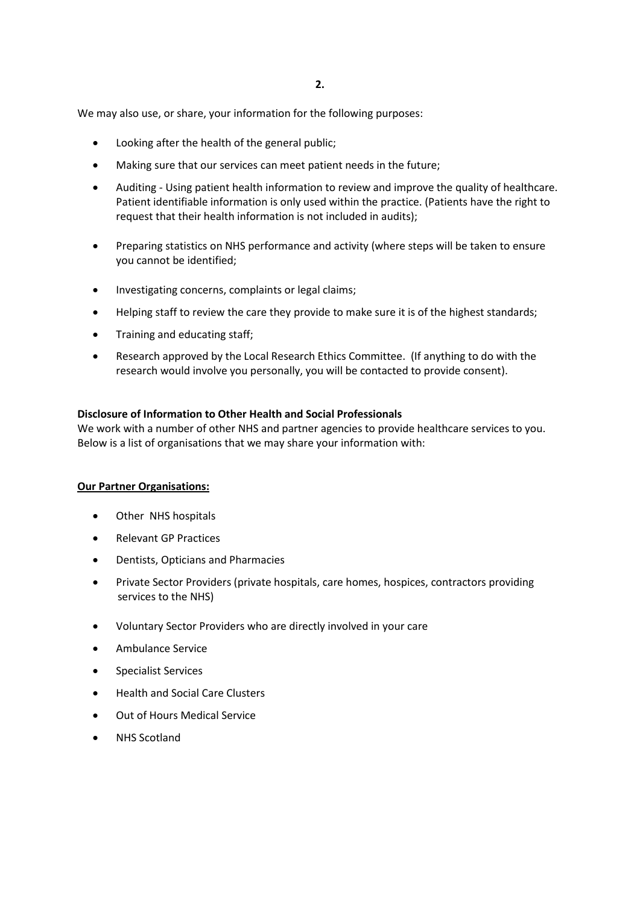We may also use, or share, your information for the following purposes:

- Looking after the health of the general public;
- Making sure that our services can meet patient needs in the future;
- Auditing Using patient health information to review and improve the quality of healthcare. Patient identifiable information is only used within the practice. (Patients have the right to request that their health information is not included in audits);
- Preparing statistics on NHS performance and activity (where steps will be taken to ensure you cannot be identified;
- Investigating concerns, complaints or legal claims;
- Helping staff to review the care they provide to make sure it is of the highest standards;
- Training and educating staff;
- Research approved by the Local Research Ethics Committee. (If anything to do with the research would involve you personally, you will be contacted to provide consent).

## **Disclosure of Information to Other Health and Social Professionals**

We work with a number of other NHS and partner agencies to provide healthcare services to you. Below is a list of organisations that we may share your information with:

# **Our Partner Organisations:**

- Other NHS hospitals
- Relevant GP Practices
- Dentists, Opticians and Pharmacies
- Private Sector Providers (private hospitals, care homes, hospices, contractors providing services to the NHS)
- Voluntary Sector Providers who are directly involved in your care
- Ambulance Service
- Specialist Services
- Health and Social Care Clusters
- Out of Hours Medical Service
- NHS Scotland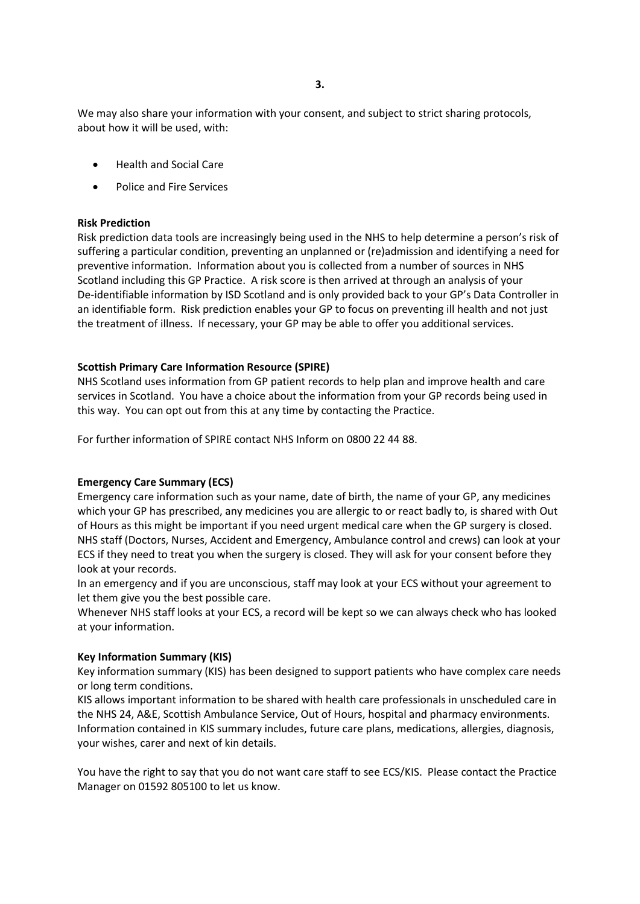We may also share your information with your consent, and subject to strict sharing protocols, about how it will be used, with:

- Health and Social Care
- Police and Fire Services

## **Risk Prediction**

Risk prediction data tools are increasingly being used in the NHS to help determine a person's risk of suffering a particular condition, preventing an unplanned or (re)admission and identifying a need for preventive information. Information about you is collected from a number of sources in NHS Scotland including this GP Practice. A risk score is then arrived at through an analysis of your De-identifiable information by ISD Scotland and is only provided back to your GP's Data Controller in an identifiable form. Risk prediction enables your GP to focus on preventing ill health and not just the treatment of illness. If necessary, your GP may be able to offer you additional services.

# **Scottish Primary Care Information Resource (SPIRE)**

NHS Scotland uses information from GP patient records to help plan and improve health and care services in Scotland. You have a choice about the information from your GP records being used in this way. You can opt out from this at any time by contacting the Practice.

For further information of SPIRE contact NHS Inform on 0800 22 44 88.

#### **Emergency Care Summary (ECS)**

Emergency care information such as your name, date of birth, the name of your GP, any medicines which your GP has prescribed, any medicines you are allergic to or react badly to, is shared with Out of Hours as this might be important if you need urgent medical care when the GP surgery is closed. NHS staff (Doctors, Nurses, Accident and Emergency, Ambulance control and crews) can look at your ECS if they need to treat you when the surgery is closed. They will ask for your consent before they look at your records.

In an emergency and if you are unconscious, staff may look at your ECS without your agreement to let them give you the best possible care.

Whenever NHS staff looks at your ECS, a record will be kept so we can always check who has looked at your information.

## **Key Information Summary (KIS)**

Key information summary (KIS) has been designed to support patients who have complex care needs or long term conditions.

KIS allows important information to be shared with health care professionals in unscheduled care in the NHS 24, A&E, Scottish Ambulance Service, Out of Hours, hospital and pharmacy environments. Information contained in KIS summary includes, future care plans, medications, allergies, diagnosis, your wishes, carer and next of kin details.

You have the right to say that you do not want care staff to see ECS/KIS. Please contact the Practice Manager on 01592 805100 to let us know.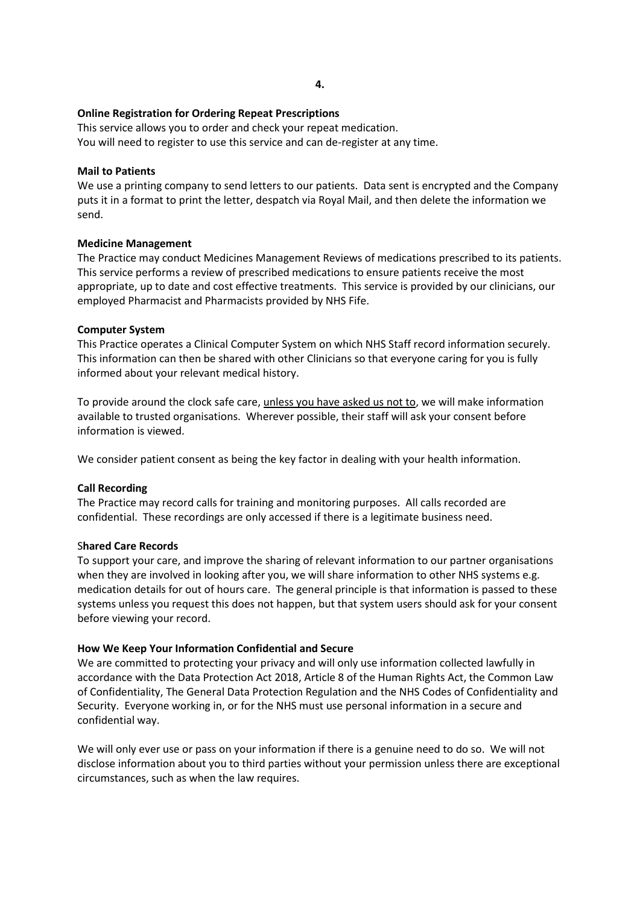## **Online Registration for Ordering Repeat Prescriptions**

This service allows you to order and check your repeat medication. You will need to register to use this service and can de-register at any time.

#### **Mail to Patients**

We use a printing company to send letters to our patients. Data sent is encrypted and the Company puts it in a format to print the letter, despatch via Royal Mail, and then delete the information we send.

## **Medicine Management**

The Practice may conduct Medicines Management Reviews of medications prescribed to its patients. This service performs a review of prescribed medications to ensure patients receive the most appropriate, up to date and cost effective treatments. This service is provided by our clinicians, our employed Pharmacist and Pharmacists provided by NHS Fife.

## **Computer System**

This Practice operates a Clinical Computer System on which NHS Staff record information securely. This information can then be shared with other Clinicians so that everyone caring for you is fully informed about your relevant medical history.

To provide around the clock safe care, unless you have asked us not to, we will make information available to trusted organisations. Wherever possible, their staff will ask your consent before information is viewed.

We consider patient consent as being the key factor in dealing with your health information.

#### **Call Recording**

The Practice may record calls for training and monitoring purposes. All calls recorded are confidential. These recordings are only accessed if there is a legitimate business need.

#### S**hared Care Records**

To support your care, and improve the sharing of relevant information to our partner organisations when they are involved in looking after you, we will share information to other NHS systems e.g. medication details for out of hours care. The general principle is that information is passed to these systems unless you request this does not happen, but that system users should ask for your consent before viewing your record.

# **How We Keep Your Information Confidential and Secure**

We are committed to protecting your privacy and will only use information collected lawfully in accordance with the Data Protection Act 2018, Article 8 of the Human Rights Act, the Common Law of Confidentiality, The General Data Protection Regulation and the NHS Codes of Confidentiality and Security. Everyone working in, or for the NHS must use personal information in a secure and confidential way.

We will only ever use or pass on your information if there is a genuine need to do so. We will not disclose information about you to third parties without your permission unless there are exceptional circumstances, such as when the law requires.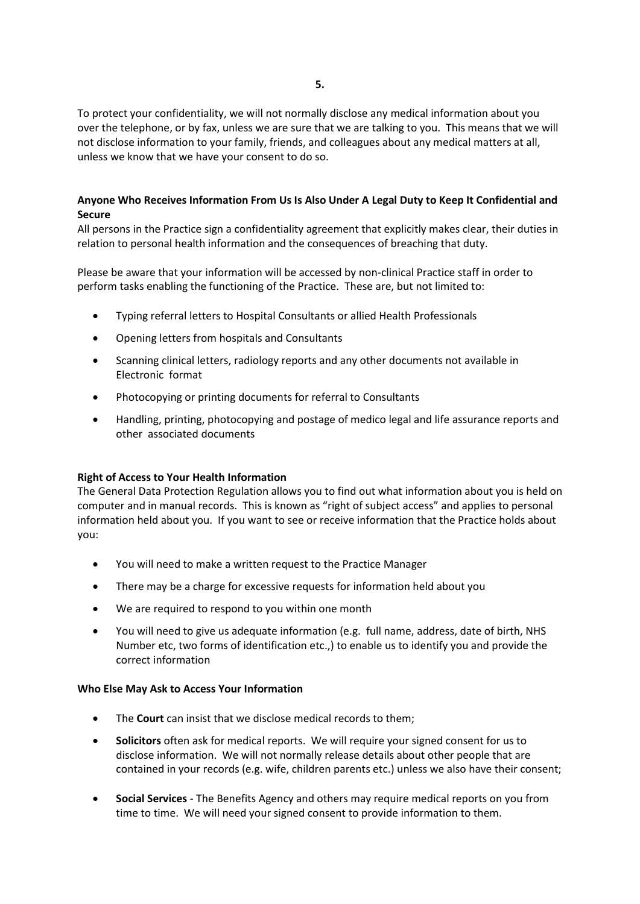To protect your confidentiality, we will not normally disclose any medical information about you over the telephone, or by fax, unless we are sure that we are talking to you. This means that we will not disclose information to your family, friends, and colleagues about any medical matters at all, unless we know that we have your consent to do so.

# **Anyone Who Receives Information From Us Is Also Under A Legal Duty to Keep It Confidential and Secure**

All persons in the Practice sign a confidentiality agreement that explicitly makes clear, their duties in relation to personal health information and the consequences of breaching that duty.

Please be aware that your information will be accessed by non-clinical Practice staff in order to perform tasks enabling the functioning of the Practice. These are, but not limited to:

- Typing referral letters to Hospital Consultants or allied Health Professionals
- Opening letters from hospitals and Consultants
- Scanning clinical letters, radiology reports and any other documents not available in Electronic format
- Photocopying or printing documents for referral to Consultants
- Handling, printing, photocopying and postage of medico legal and life assurance reports and other associated documents

# **Right of Access to Your Health Information**

The General Data Protection Regulation allows you to find out what information about you is held on computer and in manual records. This is known as "right of subject access" and applies to personal information held about you. If you want to see or receive information that the Practice holds about you:

- You will need to make a written request to the Practice Manager
- There may be a charge for excessive requests for information held about you
- We are required to respond to you within one month
- You will need to give us adequate information (e.g. full name, address, date of birth, NHS Number etc, two forms of identification etc.,) to enable us to identify you and provide the correct information

#### **Who Else May Ask to Access Your Information**

- The **Court** can insist that we disclose medical records to them;
- **Solicitors** often ask for medical reports. We will require your signed consent for us to disclose information. We will not normally release details about other people that are contained in your records (e.g. wife, children parents etc.) unless we also have their consent;
- **Social Services** The Benefits Agency and others may require medical reports on you from time to time. We will need your signed consent to provide information to them.